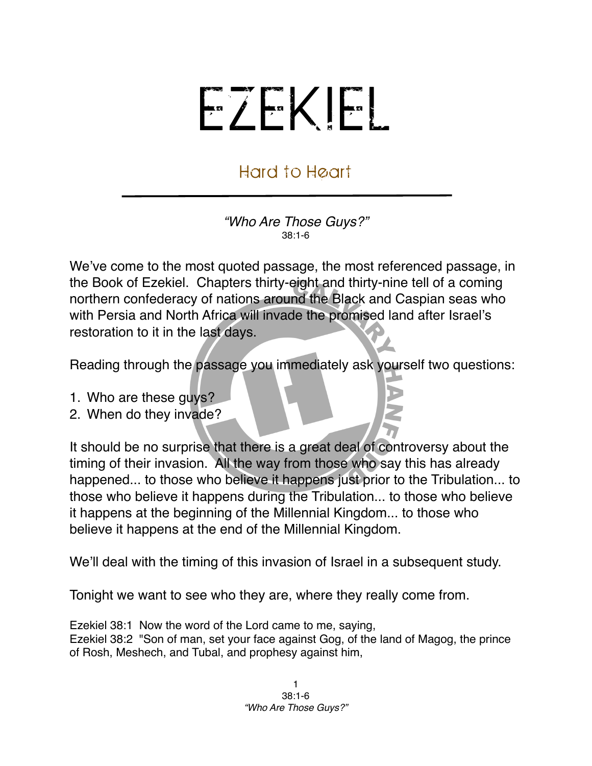## EZEKIEL

## Hard to Heart

*"Who Are Those Guys?"* 38:1-6

We've come to the most quoted passage, the most referenced passage, in the Book of Ezekiel. Chapters thirty-eight and thirty-nine tell of a coming northern confederacy of nations around the Black and Caspian seas who with Persia and North Africa will invade the promised land after Israel's restoration to it in the last days.

Reading through the passage you immediately ask yourself two questions:

- 1. Who are these guys?
- 2. When do they invade?

It should be no surprise that there is a great deal of controversy about the timing of their invasion. All the way from those who say this has already happened... to those who believe it happens just prior to the Tribulation... to those who believe it happens during the Tribulation... to those who believe it happens at the beginning of the Millennial Kingdom... to those who believe it happens at the end of the Millennial Kingdom.

We'll deal with the timing of this invasion of Israel in a subsequent study.

Tonight we want to see who they are, where they really come from.

Ezekiel 38:1 Now the word of the Lord came to me, saying,

Ezekiel 38:2 "Son of man, set your face against Gog, of the land of Magog, the prince of Rosh, Meshech, and Tubal, and prophesy against him,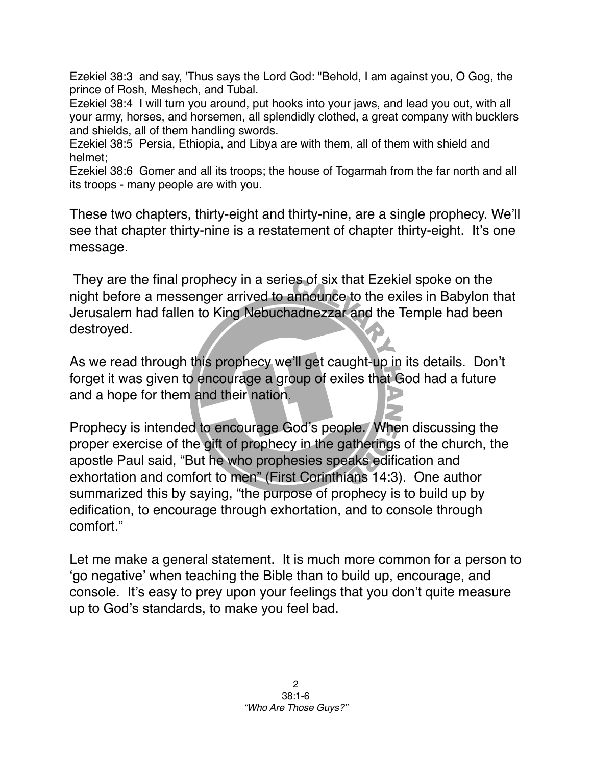Ezekiel 38:3 and say, 'Thus says the Lord God: "Behold, I am against you, O Gog, the prince of Rosh, Meshech, and Tubal.

Ezekiel 38:4 I will turn you around, put hooks into your jaws, and lead you out, with all your army, horses, and horsemen, all splendidly clothed, a great company with bucklers and shields, all of them handling swords.

Ezekiel 38:5 Persia, Ethiopia, and Libya are with them, all of them with shield and helmet;

Ezekiel 38:6 Gomer and all its troops; the house of Togarmah from the far north and all its troops - many people are with you.

These two chapters, thirty-eight and thirty-nine, are a single prophecy. We'll see that chapter thirty-nine is a restatement of chapter thirty-eight. It's one message.

 They are the final prophecy in a series of six that Ezekiel spoke on the night before a messenger arrived to announce to the exiles in Babylon that Jerusalem had fallen to King Nebuchadnezzar and the Temple had been destroyed.

As we read through this prophecy we'll get caught-up in its details. Don't forget it was given to encourage a group of exiles that God had a future and a hope for them and their nation.

Prophecy is intended to encourage God's people. When discussing the proper exercise of the gift of prophecy in the gatherings of the church, the apostle Paul said, "But he who prophesies speaks edification and exhortation and comfort to men" (First Corinthians 14:3). One author summarized this by saying, "the purpose of prophecy is to build up by edification, to encourage through exhortation, and to console through comfort."

Let me make a general statement. It is much more common for a person to ʻgo negative' when teaching the Bible than to build up, encourage, and console. It's easy to prey upon your feelings that you don't quite measure up to God's standards, to make you feel bad.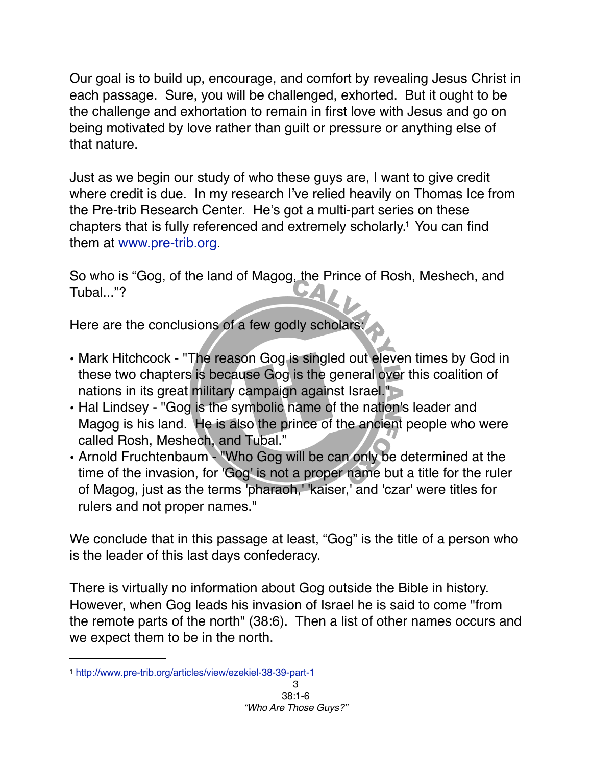Our goal is to build up, encourage, and comfort by revealing Jesus Christ in each passage. Sure, you will be challenged, exhorted. But it ought to be the challenge and exhortation to remain in first love with Jesus and go on being motivated by love rather than guilt or pressure or anything else of that nature.

Just as we begin our study of who these guys are, I want to give credit where credit is due. In my research I've relied heavily on Thomas Ice from the Pre-trib Research Center. He's got a multi-part series on these chapters that is fully referenced and extremely scholarly[.1](#page-2-0) You can find them at [www.pre-trib.org.](http://www.pre-trib.org)

So who is "Gog, of the land of Magog, the Prince of Rosh, Meshech, and Tubal..."?

Here are the conclusions of a few godly scholars:

- Mark Hitchcock "The reason Gog is singled out eleven times by God in these two chapters is because Gog is the general over this coalition of nations in its great military campaign against Israel."
- Hal Lindsey "Gog is the symbolic name of the nation's leader and Magog is his land. He is also the prince of the ancient people who were called Rosh, Meshech, and Tubal."
- Arnold Fruchtenbaum "Who Gog will be can only be determined at the time of the invasion, for 'Gog' is not a proper name but a title for the ruler of Magog, just as the terms 'pharaoh,' 'kaiser,' and 'czar' were titles for rulers and not proper names."

We conclude that in this passage at least, "Gog" is the title of a person who is the leader of this last days confederacy.

There is virtually no information about Gog outside the Bible in history. However, when Gog leads his invasion of Israel he is said to come "from the remote parts of the north" (38:6). Then a list of other names occurs and we expect them to be in the north.

<span id="page-2-0"></span><sup>1</sup> <http://www.pre-trib.org/articles/view/ezekiel-38-39-part-1>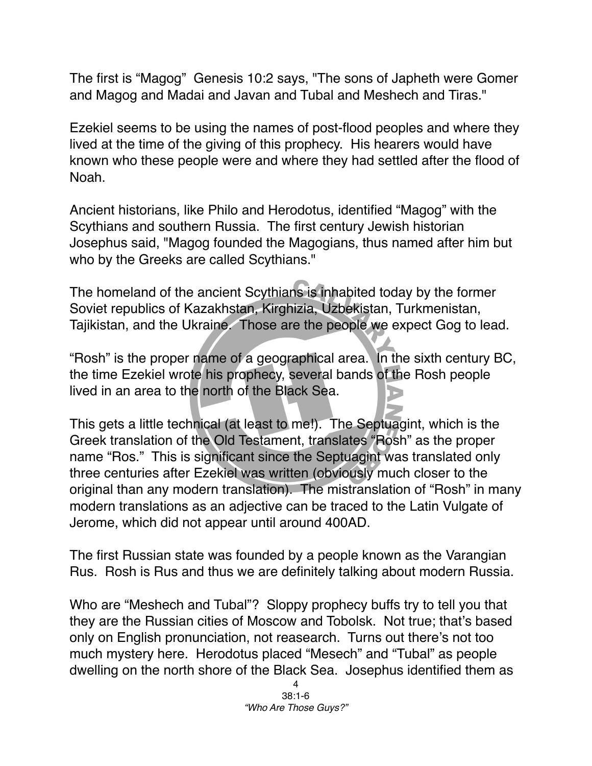The first is "Magog" Genesis 10:2 says, "The sons of Japheth were Gomer and Magog and Madai and Javan and Tubal and Meshech and Tiras."

Ezekiel seems to be using the names of post-flood peoples and where they lived at the time of the giving of this prophecy. His hearers would have known who these people were and where they had settled after the flood of Noah.

Ancient historians, like Philo and Herodotus, identified "Magog" with the Scythians and southern Russia. The first century Jewish historian Josephus said, "Magog founded the Magogians, thus named after him but who by the Greeks are called Scythians."

The homeland of the ancient Scythians is inhabited today by the former Soviet republics of Kazakhstan, Kirghizia, Uzbekistan, Turkmenistan, Tajikistan, and the Ukraine. Those are the people we expect Gog to lead.

"Rosh" is the proper name of a geographical area. In the sixth century BC, the time Ezekiel wrote his prophecy, several bands of the Rosh people lived in an area to the north of the Black Sea.

This gets a little technical (at least to me!). The Septuagint, which is the Greek translation of the Old Testament, translates "Rosh" as the proper name "Ros." This is significant since the Septuagint was translated only three centuries after Ezekiel was written (obviously much closer to the original than any modern translation). The mistranslation of "Rosh" in many modern translations as an adjective can be traced to the Latin Vulgate of Jerome, which did not appear until around 400AD.

The first Russian state was founded by a people known as the Varangian Rus. Rosh is Rus and thus we are definitely talking about modern Russia.

Who are "Meshech and Tubal"? Sloppy prophecy buffs try to tell you that they are the Russian cities of Moscow and Tobolsk. Not true; that's based only on English pronunciation, not reasearch. Turns out there's not too much mystery here. Herodotus placed "Mesech" and "Tubal" as people dwelling on the north shore of the Black Sea. Josephus identified them as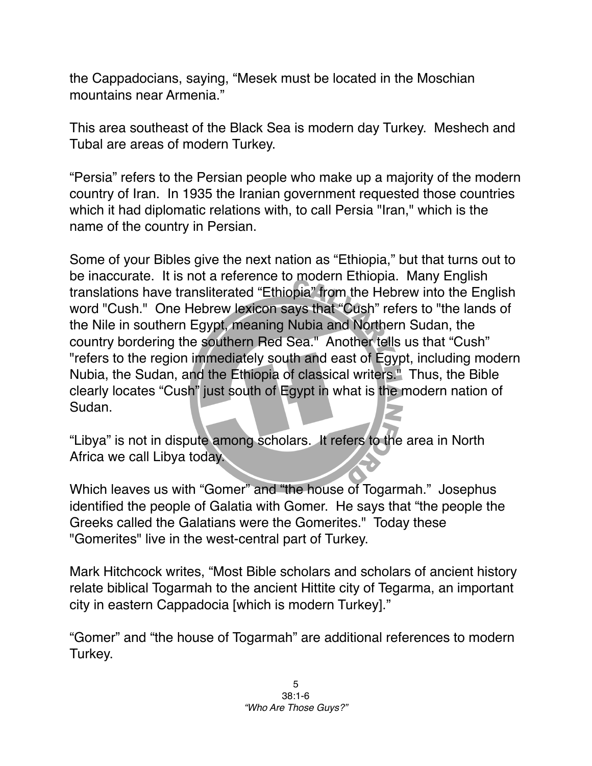the Cappadocians, saying, "Mesek must be located in the Moschian mountains near Armenia."

This area southeast of the Black Sea is modern day Turkey. Meshech and Tubal are areas of modern Turkey.

"Persia" refers to the Persian people who make up a majority of the modern country of Iran. In 1935 the Iranian government requested those countries which it had diplomatic relations with, to call Persia "Iran," which is the name of the country in Persian.

Some of your Bibles give the next nation as "Ethiopia," but that turns out to be inaccurate. It is not a reference to modern Ethiopia. Many English translations have transliterated "Ethiopia" from the Hebrew into the English word "Cush." One Hebrew lexicon says that "Cush" refers to "the lands of the Nile in southern Egypt, meaning Nubia and Northern Sudan, the country bordering the southern Red Sea." Another tells us that "Cush" "refers to the region immediately south and east of Egypt, including modern Nubia, the Sudan, and the Ethiopia of classical writers." Thus, the Bible clearly locates "Cush" just south of Egypt in what is the modern nation of Sudan.

"Libya" is not in dispute among scholars. It refers to the area in North Africa we call Libya today.

Which leaves us with "Gomer" and "the house of Togarmah." Josephus identified the people of Galatia with Gomer. He says that "the people the Greeks called the Galatians were the Gomerites." Today these "Gomerites" live in the west-central part of Turkey.

Mark Hitchcock writes, "Most Bible scholars and scholars of ancient history relate biblical Togarmah to the ancient Hittite city of Tegarma, an important city in eastern Cappadocia [which is modern Turkey]."

"Gomer" and "the house of Togarmah" are additional references to modern Turkey.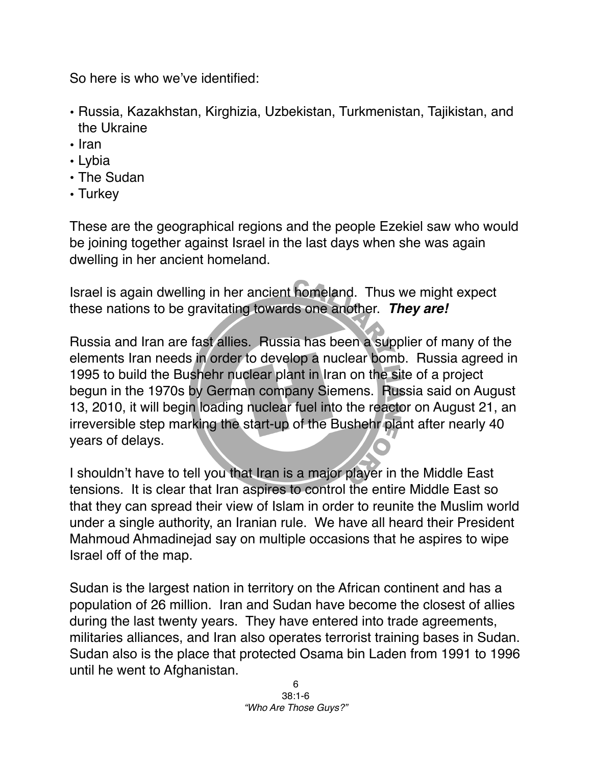So here is who we've identified:

- Russia, Kazakhstan, Kirghizia, Uzbekistan, Turkmenistan, Tajikistan, and the Ukraine
- Iran
- Lybia
- The Sudan
- Turkey

These are the geographical regions and the people Ezekiel saw who would be joining together against Israel in the last days when she was again dwelling in her ancient homeland.

Israel is again dwelling in her ancient homeland. Thus we might expect these nations to be gravitating towards one another. *They are!*

Russia and Iran are fast allies. Russia has been a supplier of many of the elements Iran needs in order to develop a nuclear bomb. Russia agreed in 1995 to build the Bushehr nuclear plant in Iran on the site of a project begun in the 1970s by German company Siemens. Russia said on August 13, 2010, it will begin loading nuclear fuel into the reactor on August 21, an irreversible step marking the start-up of the Bushehr plant after nearly 40 years of delays.

I shouldn't have to tell you that Iran is a major player in the Middle East tensions. It is clear that Iran aspires to control the entire Middle East so that they can spread their view of Islam in order to reunite the Muslim world under a single authority, an Iranian rule. We have all heard their President Mahmoud Ahmadinejad say on multiple occasions that he aspires to wipe Israel off of the map.

Sudan is the largest nation in territory on the African continent and has a population of 26 million. Iran and Sudan have become the closest of allies during the last twenty years. They have entered into trade agreements, militaries alliances, and Iran also operates terrorist training bases in Sudan. Sudan also is the place that protected Osama bin Laden from 1991 to 1996 until he went to Afghanistan.